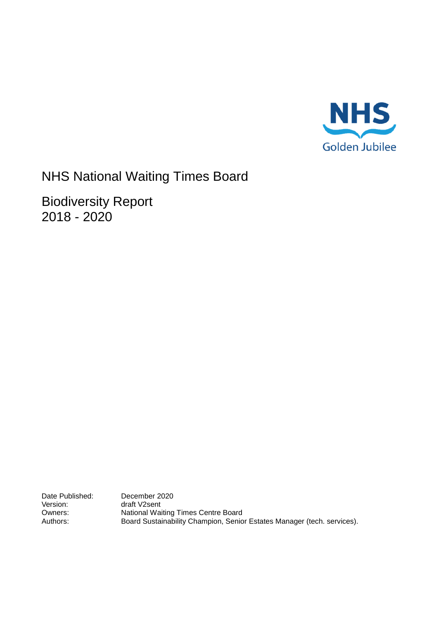

# NHS National Waiting Times Board

Biodiversity Report 2018 - 2020

Date Published: December 2020<br>
Version: draft V2sent Version: draft V2sent<br>Owners: National Wai Owners: National Waiting Times Centre Board<br>
Authors: Board Sustainability Champion, Senio Board Sustainability Champion, Senior Estates Manager (tech. services).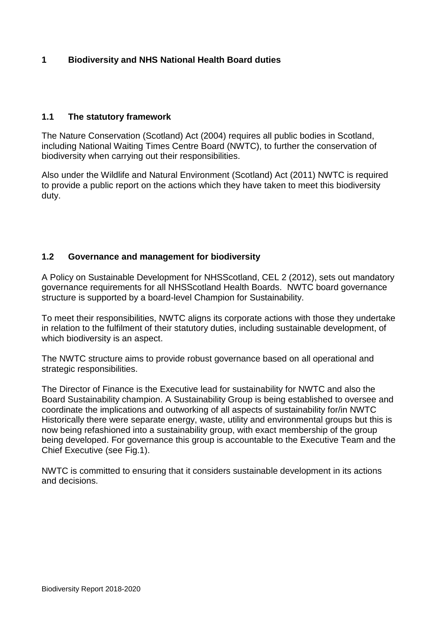# **1 Biodiversity and NHS National Health Board duties**

#### **1.1 The statutory framework**

The Nature Conservation (Scotland) Act (2004) requires all public bodies in Scotland, including National Waiting Times Centre Board (NWTC), to further the conservation of biodiversity when carrying out their responsibilities.

Also under the Wildlife and Natural Environment (Scotland) Act (2011) NWTC is required to provide a public report on the actions which they have taken to meet this biodiversity duty.

#### **1.2 Governance and management for biodiversity**

A Policy on Sustainable Development for NHSScotland, CEL 2 (2012), sets out mandatory governance requirements for all NHSScotland Health Boards. NWTC board governance structure is supported by a board-level Champion for Sustainability.

To meet their responsibilities, NWTC aligns its corporate actions with those they undertake in relation to the fulfilment of their statutory duties, including sustainable development, of which biodiversity is an aspect.

The NWTC structure aims to provide robust governance based on all operational and strategic responsibilities.

The Director of Finance is the Executive lead for sustainability for NWTC and also the Board Sustainability champion. A Sustainability Group is being established to oversee and coordinate the implications and outworking of all aspects of sustainability for/in NWTC Historically there were separate energy, waste, utility and environmental groups but this is now being refashioned into a sustainability group, with exact membership of the group being developed. For governance this group is accountable to the Executive Team and the Chief Executive (see Fig.1).

NWTC is committed to ensuring that it considers sustainable development in its actions and decisions.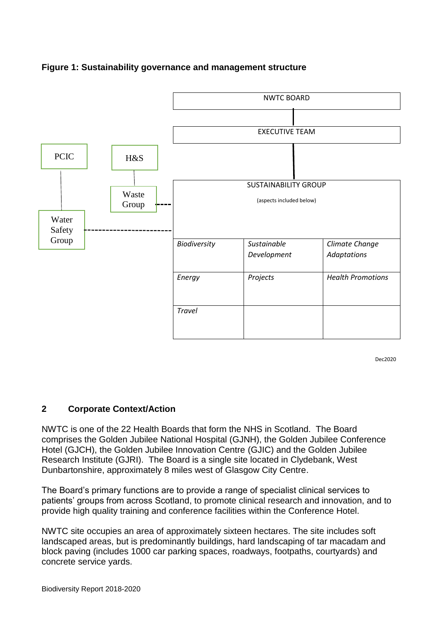



Dec2020

# **2 Corporate Context/Action**

NWTC is one of the 22 Health Boards that form the NHS in Scotland. The Board comprises the Golden Jubilee National Hospital (GJNH), the Golden Jubilee Conference Hotel (GJCH), the Golden Jubilee Innovation Centre (GJIC) and the Golden Jubilee Research Institute (GJRI). The Board is a single site located in Clydebank, West Dunbartonshire, approximately 8 miles west of Glasgow City Centre.

The Board's primary functions are to provide a range of specialist clinical services to patients' groups from across Scotland, to promote clinical research and innovation, and to provide high quality training and conference facilities within the Conference Hotel.

NWTC site occupies an area of approximately sixteen hectares. The site includes soft landscaped areas, but is predominantly buildings, hard landscaping of tar macadam and block paving (includes 1000 car parking spaces, roadways, footpaths, courtyards) and concrete service yards.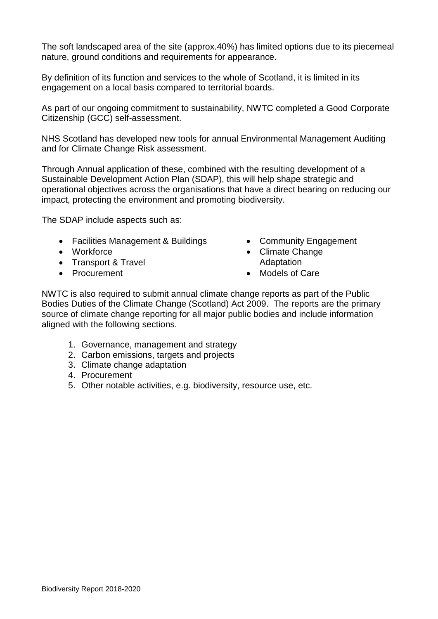The soft landscaped area of the site (approx.40%) has limited options due to its piecemeal nature, ground conditions and requirements for appearance.

By definition of its function and services to the whole of Scotland, it is limited in its engagement on a local basis compared to territorial boards.

As part of our ongoing commitment to sustainability, NWTC completed a Good Corporate Citizenship (GCC) self-assessment.

NHS Scotland has developed new tools for annual Environmental Management Auditing and for Climate Change Risk assessment.

Through Annual application of these, combined with the resulting development of a Sustainable Development Action Plan (SDAP), this will help shape strategic and operational objectives across the organisations that have a direct bearing on reducing our impact, protecting the environment and promoting biodiversity.

The SDAP include aspects such as:

- Facilities Management & Buildings Community Engagement
- 
- Transport & Travel **Adaptation**
- 
- 
- Workforce **Climate Change**
- Procurement **Care** Models of Care

NWTC is also required to submit annual climate change reports as part of the Public Bodies Duties of the Climate Change (Scotland) Act 2009. The reports are the primary source of climate change reporting for all major public bodies and include information aligned with the following sections.

- 1. Governance, management and strategy
- 2. Carbon emissions, targets and projects
- 3. Climate change adaptation
- 4. Procurement
- 5. Other notable activities, e.g. biodiversity, resource use, etc.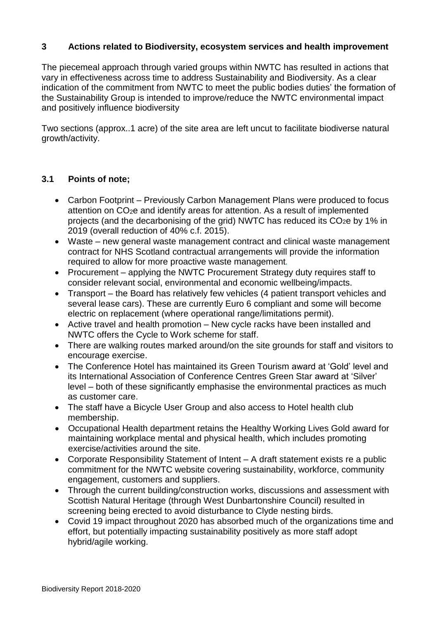#### **3 Actions related to Biodiversity, ecosystem services and health improvement**

The piecemeal approach through varied groups within NWTC has resulted in actions that vary in effectiveness across time to address Sustainability and Biodiversity. As a clear indication of the commitment from NWTC to meet the public bodies duties' the formation of the Sustainability Group is intended to improve/reduce the NWTC environmental impact and positively influence biodiversity

Two sections (approx..1 acre) of the site area are left uncut to facilitate biodiverse natural growth/activity.

#### **3.1 Points of note;**

- Carbon Footprint Previously Carbon Management Plans were produced to focus attention on CO2e and identify areas for attention. As a result of implemented projects (and the decarbonising of the grid) NWTC has reduced its CO<sub>2</sub>e by 1% in 2019 (overall reduction of 40% c.f. 2015).
- Waste new general waste management contract and clinical waste management contract for NHS Scotland contractual arrangements will provide the information required to allow for more proactive waste management*.*
- Procurement applying the NWTC Procurement Strategy duty requires staff to consider relevant social, environmental and economic wellbeing/impacts.
- Transport the Board has relatively few vehicles (4 patient transport vehicles and several lease cars). These are currently Euro 6 compliant and some will become electric on replacement (where operational range/limitations permit).
- Active travel and health promotion New cycle racks have been installed and NWTC offers the Cycle to Work scheme for staff.
- There are walking routes marked around/on the site grounds for staff and visitors to encourage exercise.
- The Conference Hotel has maintained its Green Tourism award at 'Gold' level and its International Association of Conference Centres Green Star award at 'Silver' level – both of these significantly emphasise the environmental practices as much as customer care.
- The staff have a Bicycle User Group and also access to Hotel health club membership.
- Occupational Health department retains the Healthy Working Lives Gold award for maintaining workplace mental and physical health, which includes promoting exercise/activities around the site.
- Corporate Responsibility Statement of Intent A draft statement exists re a public commitment for the NWTC website covering sustainability, workforce, community engagement, customers and suppliers.
- Through the current building/construction works, discussions and assessment with Scottish Natural Heritage (through West Dunbartonshire Council) resulted in screening being erected to avoid disturbance to Clyde nesting birds.
- Covid 19 impact throughout 2020 has absorbed much of the organizations time and effort, but potentially impacting sustainability positively as more staff adopt hybrid/agile working.